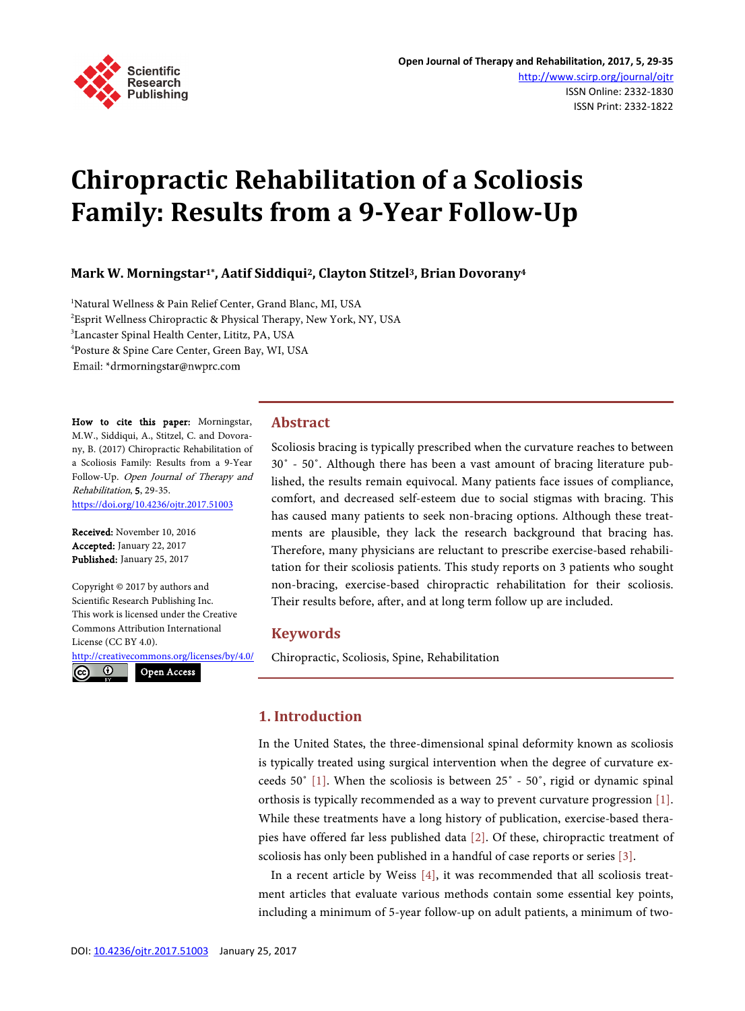

# **Chiropractic Rehabilitation of a Scoliosis Family: Results from a 9-Year Follow-Up**

# **Mark W. Morningstar1\*, Aatif Siddiqui2, Clayton Stitzel3, Brian Dovorany4**

<sup>1</sup>Natural Wellness & Pain Relief Center, Grand Blanc, MI, USA 2 Esprit Wellness Chiropractic & Physical Therapy, New York, NY, USA 3 Lancaster Spinal Health Center, Lititz, PA, USA 4 Posture & Spine Care Center, Green Bay, WI, USA Email: \*drmorningstar@nwprc.com

How to cite this paper: Morningstar, M.W., Siddiqui, A., Stitzel, C. and Dovorany, B. (2017) Chiropractic Rehabilitation of a Scoliosis Family: Results from a 9-Year Follow-Up. Open Journal of Therapy and Rehabilitation, 5, 29-35. <https://doi.org/10.4236/ojtr.2017.51003>

Received: November 10, 2016 Accepted: January 22, 2017 Published: January 25, 2017

Copyright © 2017 by authors and Scientific Research Publishing Inc. This work is licensed under the Creative Commons Attribution International License (CC BY 4.0).

<http://creativecommons.org/licenses/by/4.0/>  $\odot$  $\left(\mathrm{cc}\right)$ Open Access

# **Abstract**

Scoliosis bracing is typically prescribed when the curvature reaches to between 30˚ - 50˚. Although there has been a vast amount of bracing literature published, the results remain equivocal. Many patients face issues of compliance, comfort, and decreased self-esteem due to social stigmas with bracing. This has caused many patients to seek non-bracing options. Although these treatments are plausible, they lack the research background that bracing has. Therefore, many physicians are reluctant to prescribe exercise-based rehabilitation for their scoliosis patients. This study reports on 3 patients who sought non-bracing, exercise-based chiropractic rehabilitation for their scoliosis. Their results before, after, and at long term follow up are included.

# **Keywords**

Chiropractic, Scoliosis, Spine, Rehabilitation

# **1. Introduction**

In the United States, the three-dimensional spinal deformity known as scoliosis is typically treated using surgical intervention when the degree of curvature exceeds 50˚ [\[1\].](#page-5-0) When the scoliosis is between 25˚ - 50˚, rigid or dynamic spinal orthosis is typically recommended as a way to prevent curvature progression [\[1\].](#page-5-0)  While these treatments have a long history of publication, exercise-based therapies have offered far less published data [\[2\].](#page-5-1) Of these, chiropractic treatment of scoliosis has only been published in a handful of case reports or series [\[3\].](#page-5-2)

In a recent article by Weiss [\[4\],](#page-5-3) it was recommended that all scoliosis treatment articles that evaluate various methods contain some essential key points, including a minimum of 5-year follow-up on adult patients, a minimum of two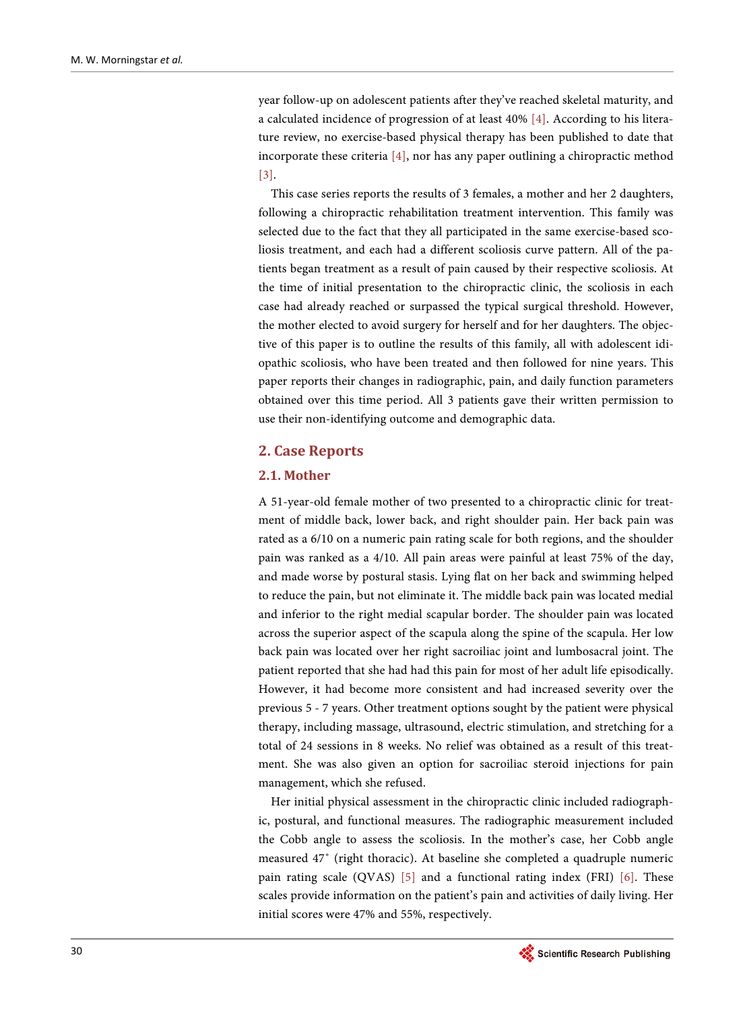year follow-up on adolescent patients after they've reached skeletal maturity, and a calculated incidence of progression of at least 40% [\[4\].](#page-5-3) According to his literature review, no exercise-based physical therapy has been published to date that incorporate these criteria [\[4\],](#page-5-3) nor has any paper outlining a chiropractic method [\[3\].](#page-5-2)

This case series reports the results of 3 females, a mother and her 2 daughters, following a chiropractic rehabilitation treatment intervention. This family was selected due to the fact that they all participated in the same exercise-based scoliosis treatment, and each had a different scoliosis curve pattern. All of the patients began treatment as a result of pain caused by their respective scoliosis. At the time of initial presentation to the chiropractic clinic, the scoliosis in each case had already reached or surpassed the typical surgical threshold. However, the mother elected to avoid surgery for herself and for her daughters. The objective of this paper is to outline the results of this family, all with adolescent idiopathic scoliosis, who have been treated and then followed for nine years. This paper reports their changes in radiographic, pain, and daily function parameters obtained over this time period. All 3 patients gave their written permission to use their non-identifying outcome and demographic data.

#### **2. Case Reports**

#### **2.1. Mother**

A 51-year-old female mother of two presented to a chiropractic clinic for treatment of middle back, lower back, and right shoulder pain. Her back pain was rated as a 6/10 on a numeric pain rating scale for both regions, and the shoulder pain was ranked as a 4/10. All pain areas were painful at least 75% of the day, and made worse by postural stasis. Lying flat on her back and swimming helped to reduce the pain, but not eliminate it. The middle back pain was located medial and inferior to the right medial scapular border. The shoulder pain was located across the superior aspect of the scapula along the spine of the scapula. Her low back pain was located over her right sacroiliac joint and lumbosacral joint. The patient reported that she had had this pain for most of her adult life episodically. However, it had become more consistent and had increased severity over the previous 5 - 7 years. Other treatment options sought by the patient were physical therapy, including massage, ultrasound, electric stimulation, and stretching for a total of 24 sessions in 8 weeks. No relief was obtained as a result of this treatment. She was also given an option for sacroiliac steroid injections for pain management, which she refused.

Her initial physical assessment in the chiropractic clinic included radiographic, postural, and functional measures. The radiographic measurement included the Cobb angle to assess the scoliosis. In the mother's case, her Cobb angle measured 47˚ (right thoracic). At baseline she completed a quadruple numeric pain rating scale (QVAS)  $[5]$  and a functional rating index (FRI)  $[6]$ . These scales provide information on the patient's pain and activities of daily living. Her initial scores were 47% and 55%, respectively.

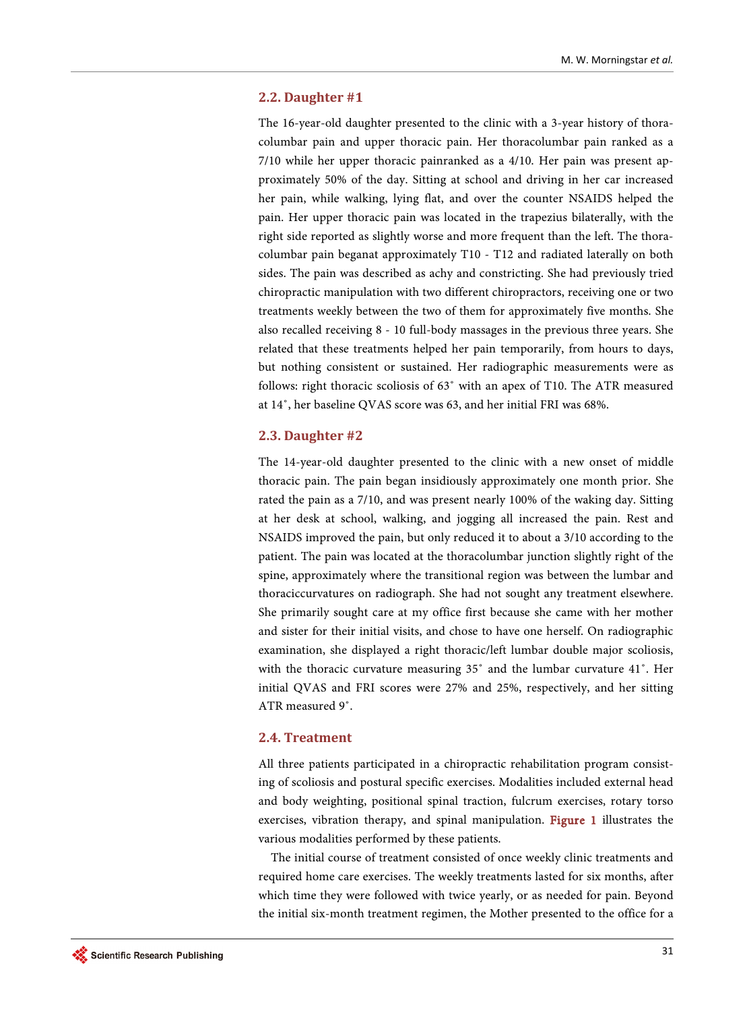#### **2.2. Daughter #1**

The 16-year-old daughter presented to the clinic with a 3-year history of thoracolumbar pain and upper thoracic pain. Her thoracolumbar pain ranked as a 7/10 while her upper thoracic painranked as a 4/10. Her pain was present approximately 50% of the day. Sitting at school and driving in her car increased her pain, while walking, lying flat, and over the counter NSAIDS helped the pain. Her upper thoracic pain was located in the trapezius bilaterally, with the right side reported as slightly worse and more frequent than the left. The thoracolumbar pain beganat approximately T10 - T12 and radiated laterally on both sides. The pain was described as achy and constricting. She had previously tried chiropractic manipulation with two different chiropractors, receiving one or two treatments weekly between the two of them for approximately five months. She also recalled receiving 8 - 10 full-body massages in the previous three years. She related that these treatments helped her pain temporarily, from hours to days, but nothing consistent or sustained. Her radiographic measurements were as follows: right thoracic scoliosis of 63˚ with an apex of T10. The ATR measured at 14˚, her baseline QVAS score was 63, and her initial FRI was 68%.

#### **2.3. Daughter #2**

The 14-year-old daughter presented to the clinic with a new onset of middle thoracic pain. The pain began insidiously approximately one month prior. She rated the pain as a 7/10, and was present nearly 100% of the waking day. Sitting at her desk at school, walking, and jogging all increased the pain. Rest and NSAIDS improved the pain, but only reduced it to about a 3/10 according to the patient. The pain was located at the thoracolumbar junction slightly right of the spine, approximately where the transitional region was between the lumbar and thoraciccurvatures on radiograph. She had not sought any treatment elsewhere. She primarily sought care at my office first because she came with her mother and sister for their initial visits, and chose to have one herself. On radiographic examination, she displayed a right thoracic/left lumbar double major scoliosis, with the thoracic curvature measuring 35˚ and the lumbar curvature 41˚. Her initial QVAS and FRI scores were 27% and 25%, respectively, and her sitting ATR measured 9˚.

#### **2.4. Treatment**

All three patients participated in a chiropractic rehabilitation program consisting of scoliosis and postural specific exercises. Modalities included external head and body weighting, positional spinal traction, fulcrum exercises, rotary torso exercises, vibration therapy, and spinal manipulation. [Figure 1](#page-3-0) illustrates the various modalities performed by these patients.

The initial course of treatment consisted of once weekly clinic treatments and required home care exercises. The weekly treatments lasted for six months, after which time they were followed with twice yearly, or as needed for pain. Beyond the initial six-month treatment regimen, the Mother presented to the office for a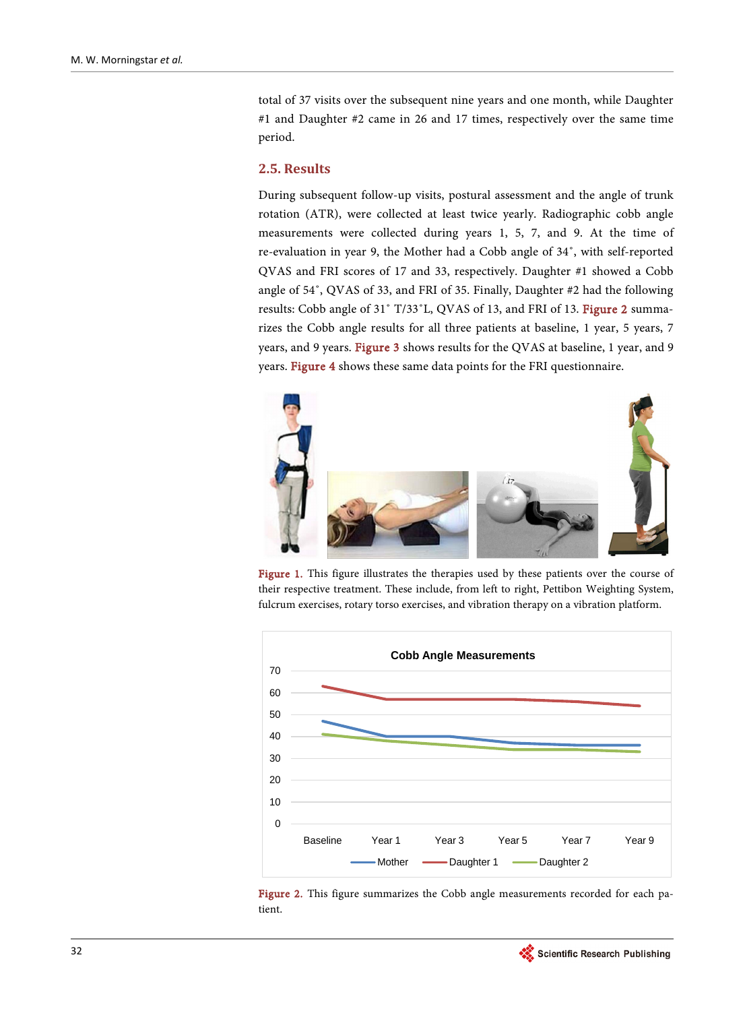total of 37 visits over the subsequent nine years and one month, while Daughter #1 and Daughter #2 came in 26 and 17 times, respectively over the same time period.

#### **2.5. Results**

During subsequent follow-up visits, postural assessment and the angle of trunk rotation (ATR), were collected at least twice yearly. Radiographic cobb angle measurements were collected during years 1, 5, 7, and 9. At the time of re-evaluation in year 9, the Mother had a Cobb angle of 34˚, with self-reported QVAS and FRI scores of 17 and 33, respectively. Daughter #1 showed a Cobb angle of 54˚, QVAS of 33, and FRI of 35. Finally, Daughter #2 had the following results: Cobb angle of 31˚ T/33˚L, QVAS of 13, and FRI of 13. [Figure 2](#page-3-1) summarizes the Cobb angle results for all three patients at baseline, 1 year, 5 years, 7 years, and 9 years. [Figure 3](#page-4-0) shows results for the QVAS at baseline, 1 year, and 9 years. [Figure 4](#page-4-1) shows these same data points for the FRI questionnaire.

<span id="page-3-0"></span>

Figure 1. This figure illustrates the therapies used by these patients over the course of their respective treatment. These include, from left to right, Pettibon Weighting System, fulcrum exercises, rotary torso exercises, and vibration therapy on a vibration platform.

<span id="page-3-1"></span>



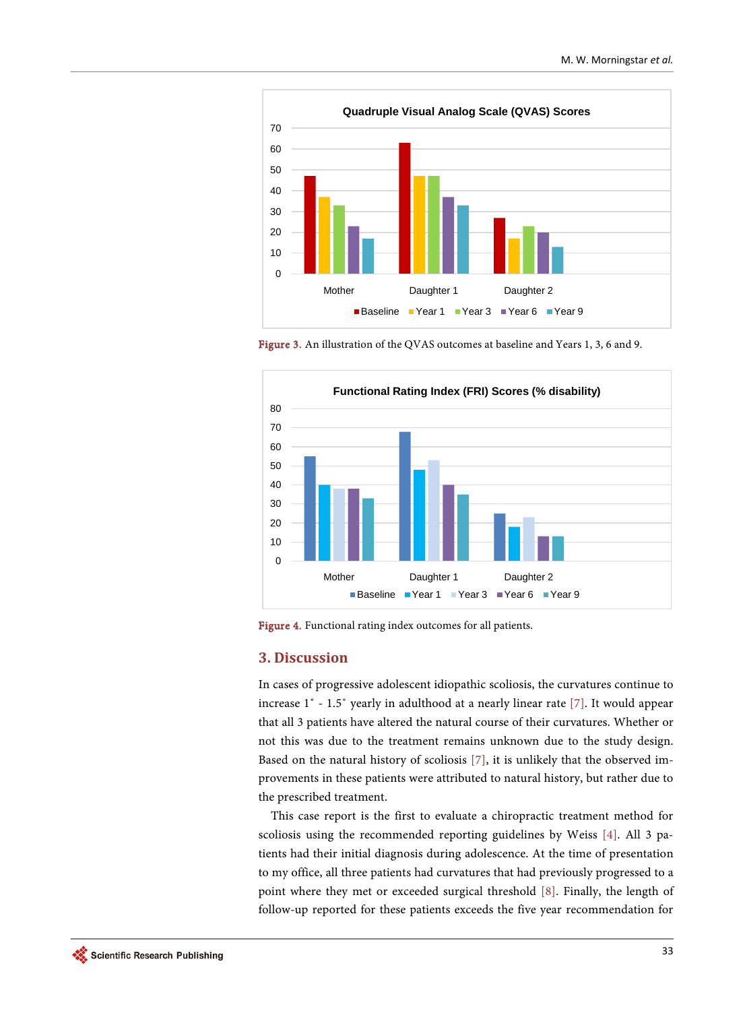<span id="page-4-0"></span>

Figure 3. An illustration of the QVAS outcomes at baseline and Years 1, 3, 6 and 9.

<span id="page-4-1"></span>

Figure 4. Functional rating index outcomes for all patients.

#### **3. Discussion**

In cases of progressive adolescent idiopathic scoliosis, the curvatures continue to increase 1˚ - 1.5˚ yearly in adulthood at a nearly linear rate [\[7\].](#page-6-0) It would appear that all 3 patients have altered the natural course of their curvatures. Whether or not this was due to the treatment remains unknown due to the study design. Based on the natural history of scoliosis [\[7\],](#page-6-0) it is unlikely that the observed improvements in these patients were attributed to natural history, but rather due to the prescribed treatment.

This case report is the first to evaluate a chiropractic treatment method for scoliosis using the recommended reporting guidelines by Weiss [\[4\].](#page-5-3) All 3 patients had their initial diagnosis during adolescence. At the time of presentation to my office, all three patients had curvatures that had previously progressed to a point where they met or exceeded surgical threshold [\[8\].](#page-6-1) Finally, the length of follow-up reported for these patients exceeds the five year recommendation for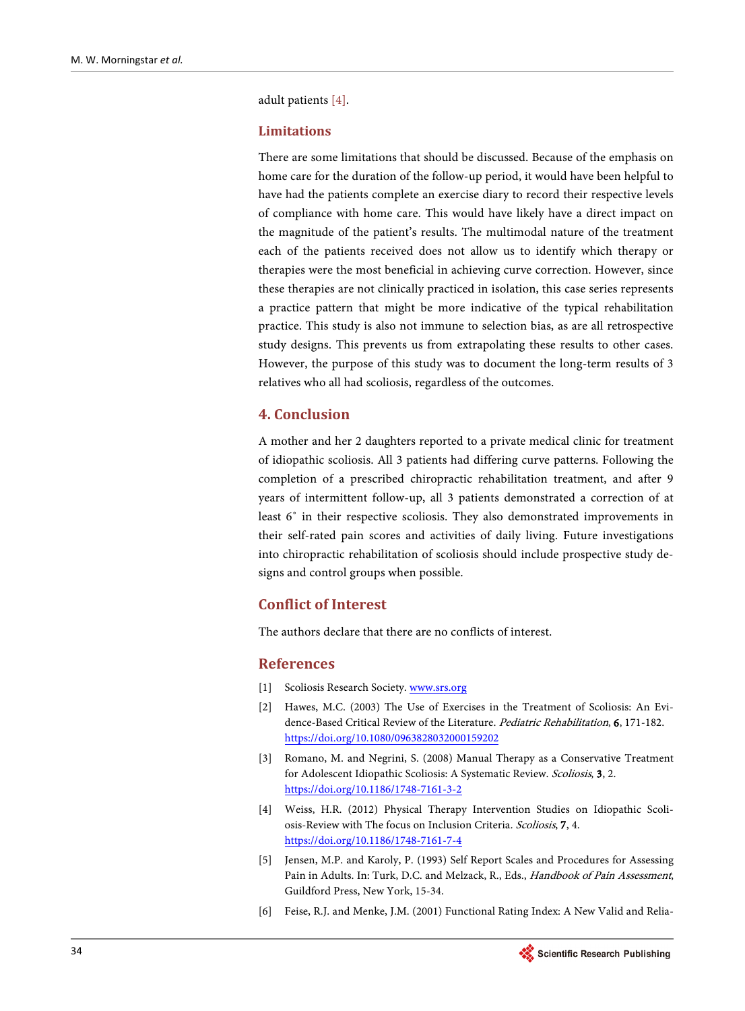adult patients [\[4\].](#page-5-3)

#### **Limitations**

There are some limitations that should be discussed. Because of the emphasis on home care for the duration of the follow-up period, it would have been helpful to have had the patients complete an exercise diary to record their respective levels of compliance with home care. This would have likely have a direct impact on the magnitude of the patient's results. The multimodal nature of the treatment each of the patients received does not allow us to identify which therapy or therapies were the most beneficial in achieving curve correction. However, since these therapies are not clinically practiced in isolation, this case series represents a practice pattern that might be more indicative of the typical rehabilitation practice. This study is also not immune to selection bias, as are all retrospective study designs. This prevents us from extrapolating these results to other cases. However, the purpose of this study was to document the long-term results of 3 relatives who all had scoliosis, regardless of the outcomes.

# **4. Conclusion**

A mother and her 2 daughters reported to a private medical clinic for treatment of idiopathic scoliosis. All 3 patients had differing curve patterns. Following the completion of a prescribed chiropractic rehabilitation treatment, and after 9 years of intermittent follow-up, all 3 patients demonstrated a correction of at least 6˚ in their respective scoliosis. They also demonstrated improvements in their self-rated pain scores and activities of daily living. Future investigations into chiropractic rehabilitation of scoliosis should include prospective study designs and control groups when possible.

# **Conflict of Interest**

The authors declare that there are no conflicts of interest.

#### **References**

- <span id="page-5-0"></span>[1] Scoliosis Research Society[. www.srs.org](http://www.srs.org/)
- <span id="page-5-1"></span>[2] Hawes, M.C. (2003) The Use of Exercises in the Treatment of Scoliosis: An Evidence-Based Critical Review of the Literature. Pediatric Rehabilitation, 6, 171-182. <https://doi.org/10.1080/0963828032000159202>
- <span id="page-5-2"></span>[3] Romano, M. and Negrini, S. (2008) Manual Therapy as a Conservative Treatment for Adolescent Idiopathic Scoliosis: A Systematic Review. Scoliosis, 3, 2. <https://doi.org/10.1186/1748-7161-3-2>
- <span id="page-5-3"></span>[4] Weiss, H.R. (2012) Physical Therapy Intervention Studies on Idiopathic Scoliosis-Review with The focus on Inclusion Criteria. Scoliosis, 7, 4. <https://doi.org/10.1186/1748-7161-7-4>
- <span id="page-5-4"></span>[5] Jensen, M.P. and Karoly, P. (1993) Self Report Scales and Procedures for Assessing Pain in Adults. In: Turk, D.C. and Melzack, R., Eds., Handbook of Pain Assessment, Guildford Press, New York, 15-34.
- <span id="page-5-5"></span>[6] Feise, R.J. and Menke, J.M. (2001) Functional Rating Index: A New Valid and Relia-